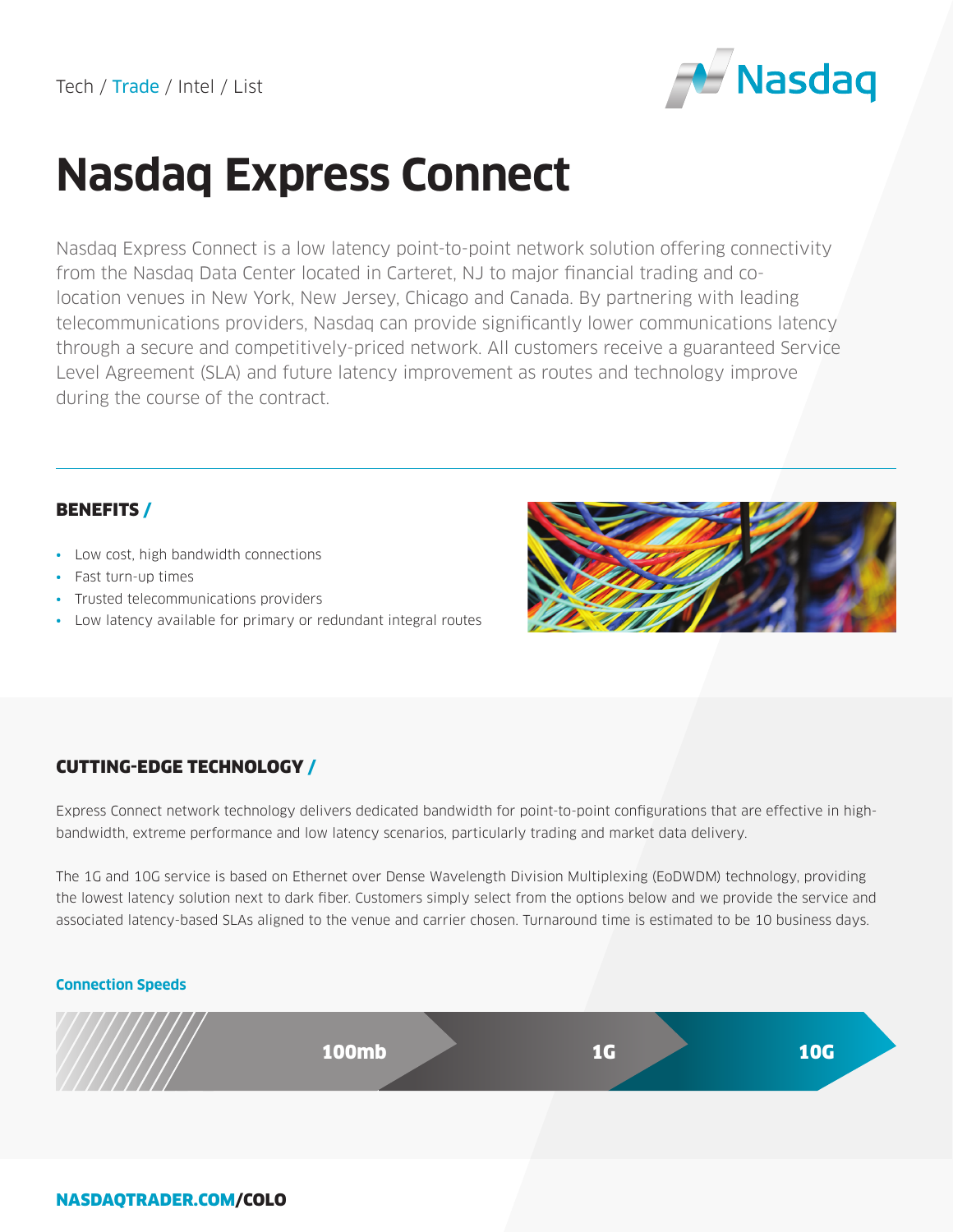

# **Nasdaq Express Connect**

Nasdaq Express Connect is a low latency point-to-point network solution offering connectivity from the Nasdaq Data Center located in Carteret, NJ to major financial trading and colocation venues in New York, New Jersey, Chicago and Canada. By partnering with leading telecommunications providers, Nasdaq can provide significantly lower communications latency through a secure and competitively-priced network. All customers receive a guaranteed Service Level Agreement (SLA) and future latency improvement as routes and technology improve during the course of the contract.

## BENEFITS /

- Low cost, high bandwidth connections
- Fast turn-up times
- Trusted telecommunications providers
- Low latency available for primary or redundant integral routes



# CUTTING-EDGE TECHNOLOGY /

Express Connect network technology delivers dedicated bandwidth for point-to-point configurations that are effective in highbandwidth, extreme performance and low latency scenarios, particularly trading and market data delivery.

The 1G and 10G service is based on Ethernet over Dense Wavelength Division Multiplexing (EoDWDM) technology, providing the lowest latency solution next to dark fiber. Customers simply select from the options below and we provide the service and associated latency-based SLAs aligned to the venue and carrier chosen. Turnaround time is estimated to be 10 business days.

### **Connection Speeds**